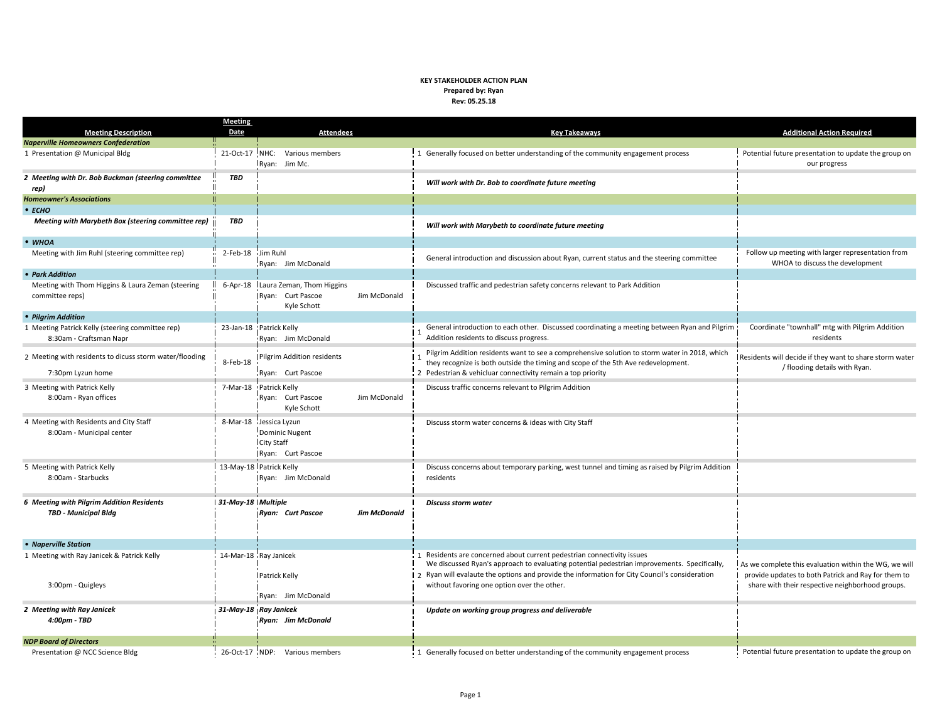## **KEY STAKEHOLDER ACTION PLAN Prepared by: Ryan Rev: 05.25.18**

|                                                                             | <b>Meeting</b>     |                                                                                           |                                                                                                                                                                                                                                                                                                                       |                                                                                                                                                                  |
|-----------------------------------------------------------------------------|--------------------|-------------------------------------------------------------------------------------------|-----------------------------------------------------------------------------------------------------------------------------------------------------------------------------------------------------------------------------------------------------------------------------------------------------------------------|------------------------------------------------------------------------------------------------------------------------------------------------------------------|
| <b>Meeting Description</b>                                                  | Date               | <b>Attendees</b>                                                                          | <b>Key Takeaways</b>                                                                                                                                                                                                                                                                                                  | <b>Additional Action Required</b>                                                                                                                                |
| <b>Naperville Homeowners Confederation</b>                                  |                    |                                                                                           |                                                                                                                                                                                                                                                                                                                       |                                                                                                                                                                  |
| 1 Presentation @ Municipal Bldg                                             | 21-Oct-17          | NHC: Various members<br>Ryan: Jim Mc.                                                     | 1 Generally focused on better understanding of the community engagement process                                                                                                                                                                                                                                       | Potential future presentation to update the group on<br>our progress                                                                                             |
| 2 Meeting with Dr. Bob Buckman (steering committee<br>rep)                  | <b>TBD</b>         |                                                                                           | Will work with Dr. Bob to coordinate future meeting                                                                                                                                                                                                                                                                   |                                                                                                                                                                  |
| <b>Homeowner's Associations</b>                                             |                    |                                                                                           |                                                                                                                                                                                                                                                                                                                       |                                                                                                                                                                  |
| $\bullet$ ECHO                                                              |                    |                                                                                           |                                                                                                                                                                                                                                                                                                                       |                                                                                                                                                                  |
| Meeting with Marybeth Box (steering committee rep)                          | <b>TBD</b>         |                                                                                           | Will work with Marybeth to coordinate future meeting                                                                                                                                                                                                                                                                  |                                                                                                                                                                  |
| $•$ WHOA                                                                    |                    |                                                                                           |                                                                                                                                                                                                                                                                                                                       |                                                                                                                                                                  |
| Meeting with Jim Ruhl (steering committee rep)                              | 2-Feb-18           | Jim Ruhl<br>Ryan: Jim McDonald                                                            | General introduction and discussion about Ryan, current status and the steering committee                                                                                                                                                                                                                             | Follow up meeting with larger representation from<br>WHOA to discuss the development                                                                             |
| • Park Addition                                                             |                    |                                                                                           |                                                                                                                                                                                                                                                                                                                       |                                                                                                                                                                  |
| Meeting with Thom Higgins & Laura Zeman (steering<br>committee reps)        | $6 - Apr - 18$     | Laura Zeman, Thom Higgins<br>Ryan: Curt Pascoe<br>Jim McDonald<br>Kyle Schott             | Discussed traffic and pedestrian safety concerns relevant to Park Addition                                                                                                                                                                                                                                            |                                                                                                                                                                  |
| • Pilgrim Addition                                                          |                    |                                                                                           |                                                                                                                                                                                                                                                                                                                       |                                                                                                                                                                  |
| 1 Meeting Patrick Kelly (steering committee rep)<br>8:30am - Craftsman Napr |                    | 23-Jan-18 Patrick Kelly<br>Ryan: Jim McDonald                                             | General introduction to each other. Discussed coordinating a meeting between Ryan and Pilgrim<br>Addition residents to discuss progress.                                                                                                                                                                              | Coordinate "townhall" mtg with Pilgrim Addition<br>residents                                                                                                     |
| 2 Meeting with residents to dicuss storm water/flooding                     | 8-Feb-18           | Pilgrim Addition residents                                                                | Pilgrim Addition residents want to see a comprehensive solution to storm water in 2018, which<br>they recognize is both outside the timing and scope of the 5th Ave redevelopment.                                                                                                                                    | Residents will decide if they want to share storm water<br>/ flooding details with Ryan.                                                                         |
| 7:30pm Lyzun home                                                           |                    | Ryan: Curt Pascoe                                                                         | 2 Pedestrian & vehicluar connectivity remain a top priority                                                                                                                                                                                                                                                           |                                                                                                                                                                  |
| 3 Meeting with Patrick Kelly<br>8:00am - Ryan offices                       | 7-Mar-18           | Patrick Kelly<br>Ryan: Curt Pascoe<br>Jim McDonald<br>Kyle Schott                         | Discuss traffic concerns relevant to Pilgrim Addition                                                                                                                                                                                                                                                                 |                                                                                                                                                                  |
| 4 Meeting with Residents and City Staff<br>8:00am - Municipal center        |                    | 8-Mar-18 Jessica Lyzun<br><b>Dominic Nugent</b><br><b>City Staff</b><br>Ryan: Curt Pascoe | Discuss storm water concerns & ideas with City Staff                                                                                                                                                                                                                                                                  |                                                                                                                                                                  |
| 5 Meeting with Patrick Kelly<br>8:00am - Starbucks                          |                    | 13-May-18 Patrick Kelly<br>Ryan: Jim McDonald                                             | Discuss concerns about temporary parking, west tunnel and timing as raised by Pilgrim Addition<br>residents                                                                                                                                                                                                           |                                                                                                                                                                  |
| 6 Meeting with Pilgrim Addition Residents<br><b>TBD - Municipal Bldg</b>    | 31-May-18 Multiple | Ryan: Curt Pascoe<br><b>Jim McDonald</b>                                                  | <b>Discuss storm water</b>                                                                                                                                                                                                                                                                                            |                                                                                                                                                                  |
| • Naperville Station                                                        |                    |                                                                                           |                                                                                                                                                                                                                                                                                                                       |                                                                                                                                                                  |
| 1 Meeting with Ray Janicek & Patrick Kelly<br>3:00pm - Quigleys             |                    | 14-Mar-18 Ray Janicek<br>Patrick Kelly                                                    | 1 Residents are concerned about current pedestrian connectivity issues<br>We discussed Ryan's approach to evaluating potential pedestrian improvements. Specifically,<br>2 Ryan will evalaute the options and provide the information for City Council's consideration<br>without favoring one option over the other. | As we complete this evaluation within the WG, we will<br>provide updates to both Patrick and Ray for them to<br>share with their respective neighborhood groups. |
|                                                                             |                    | Ryan: Jim McDonald                                                                        |                                                                                                                                                                                                                                                                                                                       |                                                                                                                                                                  |
| 2 Meeting with Ray Janicek<br>4:00pm - TBD                                  |                    | 31-May-18 Ray Janicek<br>Ryan: Jim McDonald                                               | Update on working group progress and deliverable                                                                                                                                                                                                                                                                      |                                                                                                                                                                  |
| <b>NDP Board of Directors</b>                                               |                    |                                                                                           |                                                                                                                                                                                                                                                                                                                       |                                                                                                                                                                  |
| Presentation @ NCC Science Bldg                                             |                    | 26-Oct-17 NDP: Various members                                                            | 1 Generally focused on better understanding of the community engagement process                                                                                                                                                                                                                                       | Potential future presentation to update the group on                                                                                                             |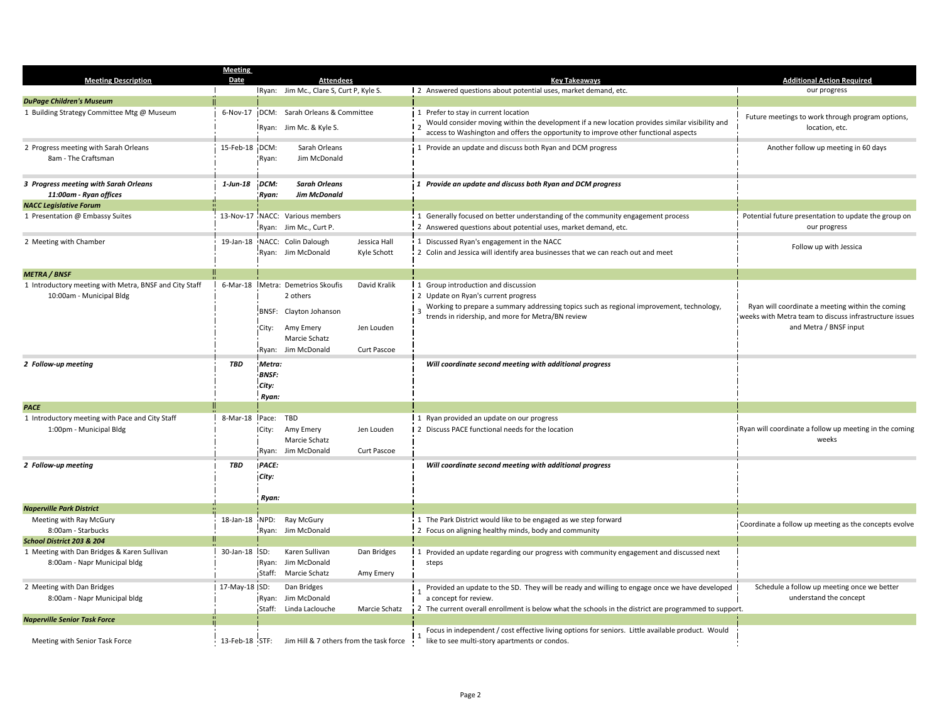|                                                                                    | <b>Meeting</b> |                                                                                                                             |                                           |                                                                                                                                                                                                                                 |                                                                                                                                      |
|------------------------------------------------------------------------------------|----------------|-----------------------------------------------------------------------------------------------------------------------------|-------------------------------------------|---------------------------------------------------------------------------------------------------------------------------------------------------------------------------------------------------------------------------------|--------------------------------------------------------------------------------------------------------------------------------------|
| <b>Meeting Description</b>                                                         | Date           | <b>Attendees</b>                                                                                                            |                                           | <b>Key Takeaways</b>                                                                                                                                                                                                            | <b>Additional Action Required</b>                                                                                                    |
|                                                                                    |                | Ryan: Jim Mc., Clare S, Curt P, Kyle S.                                                                                     |                                           | 2 Answered questions about potential uses, market demand, etc.                                                                                                                                                                  | our progress                                                                                                                         |
| <b>DuPage Children's Museum</b>                                                    |                |                                                                                                                             |                                           |                                                                                                                                                                                                                                 |                                                                                                                                      |
| 1 Building Strategy Committee Mtg @ Museum                                         | 6-Nov-17       | DCM: Sarah Orleans & Committee<br>Ryan: Jim Mc. & Kyle S.                                                                   |                                           | 1 Prefer to stay in current location<br>Would consider moving within the development if a new location provides similar visibility and<br>access to Washington and offers the opportunity to improve other functional aspects   | Future meetings to work through program options,<br>location, etc.                                                                   |
| 2 Progress meeting with Sarah Orleans<br>8am - The Craftsman                       | 15-Feb-18 DCM: | Sarah Orleans<br>Jim McDonald<br>Ryan:                                                                                      |                                           | 1 Provide an update and discuss both Ryan and DCM progress                                                                                                                                                                      | Another follow up meeting in 60 days                                                                                                 |
| 3 Progress meeting with Sarah Orleans<br>11:00am - Ryan offices                    | 1-Jun-18       | DCM:<br><b>Sarah Orleans</b><br><b>Jim McDonald</b><br>Ryan:                                                                |                                           | 1 Provide an update and discuss both Ryan and DCM progress                                                                                                                                                                      |                                                                                                                                      |
| <b>NACC Legislative Forum</b>                                                      |                |                                                                                                                             |                                           |                                                                                                                                                                                                                                 |                                                                                                                                      |
| 1 Presentation @ Embassy Suites                                                    |                | 13-Nov-17 NACC: Various members<br>Ryan: Jim Mc., Curt P.                                                                   |                                           | 1 Generally focused on better understanding of the community engagement process<br>2 Answered questions about potential uses, market demand, etc.                                                                               | Potential future presentation to update the group on<br>our progress                                                                 |
| 2 Meeting with Chamber                                                             |                | 19-Jan-18 NACC: Colin Dalough<br>Ryan: Jim McDonald                                                                         | Jessica Hall<br>Kyle Schott               | 1 Discussed Ryan's engagement in the NACC<br>2 Colin and Jessica will identify area businesses that we can reach out and meet                                                                                                   | Follow up with Jessica                                                                                                               |
| <b>METRA / BNSF</b>                                                                |                |                                                                                                                             |                                           |                                                                                                                                                                                                                                 |                                                                                                                                      |
| 1 Introductory meeting with Metra, BNSF and City Staff<br>10:00am - Municipal Bldg | 6-Mar-18       | Metra: Demetrios Skoufis<br>2 others<br>BNSF: Clayton Johanson<br>Amy Emery<br>City:<br>Marcie Schatz<br>Ryan: Jim McDonald | David Kralik<br>Jen Louden<br>Curt Pascoe | 1 Group introduction and discussion<br>2 Update on Ryan's current progress<br>Working to prepare a summary addressing topics such as regional improvement, technology,<br>trends in ridership, and more for Metra/BN review     | Ryan will coordinate a meeting within the coming<br>weeks with Metra team to discuss infrastructure issues<br>and Metra / BNSF input |
| 2 Follow-up meeting                                                                | <b>TBD</b>     | Metra:<br><b>BNSF:</b><br>City:<br>Ryan:                                                                                    |                                           | Will coordinate second meeting with additional progress                                                                                                                                                                         |                                                                                                                                      |
| <b>PACE</b>                                                                        |                |                                                                                                                             |                                           |                                                                                                                                                                                                                                 |                                                                                                                                      |
| 1 Introductory meeting with Pace and City Staff<br>1:00pm - Municipal Bldg         | 8-Mar-18       | Pace:<br>TBD<br>Amy Emery<br>City:<br>Marcie Schatz<br>Ryan: Jim McDonald                                                   | Jen Louden<br>Curt Pascoe                 | 1 1 Ryan provided an update on our progress<br>2 Discuss PACE functional needs for the location                                                                                                                                 | Ryan will coordinate a follow up meeting in the coming<br>weeks                                                                      |
| 2 Follow-up meeting                                                                | <b>TBD</b>     | PACE:<br>City:<br>Ryan:                                                                                                     |                                           | Will coordinate second meeting with additional progress                                                                                                                                                                         |                                                                                                                                      |
| <b>Naperville Park District</b>                                                    |                |                                                                                                                             |                                           |                                                                                                                                                                                                                                 |                                                                                                                                      |
| Meeting with Ray McGury<br>8:00am - Starbucks                                      |                | 18-Jan-18 NPD: Ray McGury<br>Ryan: Jim McDonald                                                                             |                                           | 1 The Park District would like to be engaged as we step forward<br>2 Focus on aligning healthy minds, body and community                                                                                                        | Coordinate a follow up meeting as the concepts evolve                                                                                |
| School District 203 & 204                                                          |                |                                                                                                                             |                                           |                                                                                                                                                                                                                                 |                                                                                                                                      |
| 1 Meeting with Dan Bridges & Karen Sullivan<br>8:00am - Napr Municipal bldg        | 30-Jan-18 ISD: | Karen Sullivan<br>Ryan: Jim McDonald<br>Staff: Marcie Schatz                                                                | Dan Bridges<br>Amy Emery                  | 1 Provided an update regarding our progress with community engagement and discussed next<br>steps                                                                                                                               |                                                                                                                                      |
| 2 Meeting with Dan Bridges<br>8:00am - Napr Municipal bldg                         | 17-May-18 SD:  | Dan Bridges<br>Ryan: Jim McDonald<br>Staff: Linda Laclouche                                                                 | Marcie Schatz                             | Provided an update to the SD. They will be ready and willing to engage once we have developed<br>a concept for review.<br>2 The current overall enrollment is below what the schools in the district are programmed to support. | Schedule a follow up meeting once we better<br>understand the concept                                                                |
| <b>Naperville Senior Task Force</b>                                                |                |                                                                                                                             |                                           |                                                                                                                                                                                                                                 |                                                                                                                                      |
| Meeting with Senior Task Force                                                     | 13-Feb-18 STF: | Jim Hill & 7 others from the task force                                                                                     |                                           | Focus in independent / cost effective living options for seniors. Little available product. Would<br>like to see multi-story apartments or condos.                                                                              |                                                                                                                                      |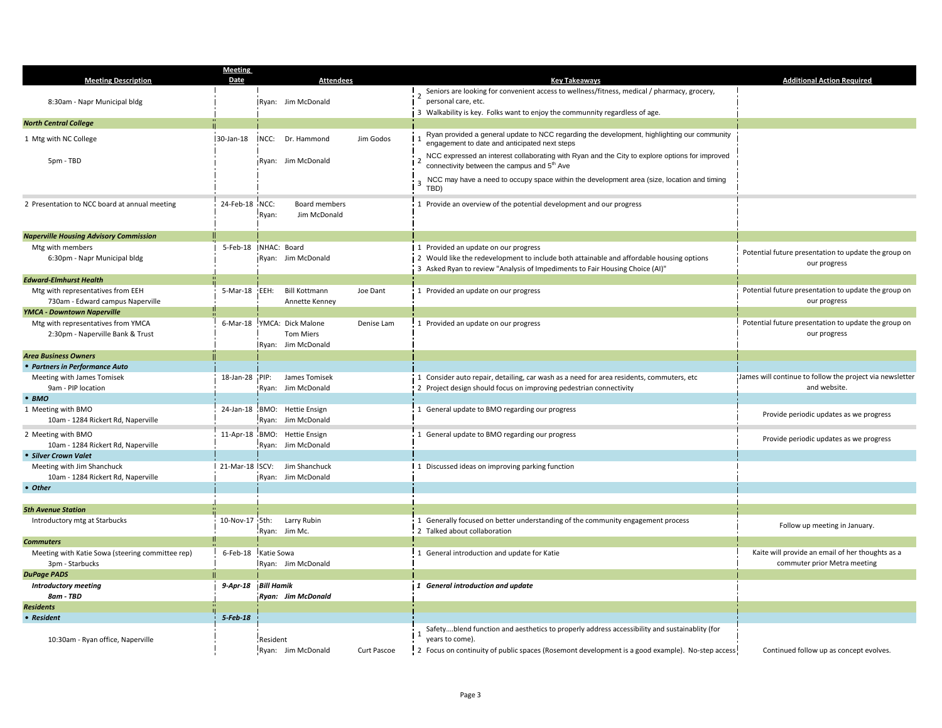|                                                                        | <b>Meeting</b> |                                       |             |                                                                                                                 |                                                                      |
|------------------------------------------------------------------------|----------------|---------------------------------------|-------------|-----------------------------------------------------------------------------------------------------------------|----------------------------------------------------------------------|
| <b>Meeting Description</b>                                             | <b>Date</b>    | <b>Attendees</b>                      |             | <b>Key Takeaways</b>                                                                                            | <b>Additional Action Required</b>                                    |
|                                                                        |                |                                       |             | Seniors are looking for convenient access to wellness/fitness, medical / pharmacy, grocery,                     |                                                                      |
| 8:30am - Napr Municipal bldg                                           |                | Ryan: Jim McDonald                    |             | personal care, etc.                                                                                             |                                                                      |
| <b>North Central College</b>                                           |                |                                       |             | 3 Walkability is key. Folks want to enjoy the communnity regardless of age.                                     |                                                                      |
|                                                                        |                |                                       |             | Ryan provided a general update to NCC regarding the development, highlighting our community                     |                                                                      |
| 1 Mtg with NC College                                                  | 30-Jan-18      | <b>NCC:</b> Dr. Hammond               | Jim Godos   | engagement to date and anticipated next steps                                                                   |                                                                      |
|                                                                        |                |                                       |             | NCC expressed an interest collaborating with Ryan and the City to explore options for improved                  |                                                                      |
| 5pm - TBD                                                              |                | Ryan: Jim McDonald                    |             | connectivity between the campus and 5 <sup>th</sup> Ave                                                         |                                                                      |
|                                                                        |                |                                       |             | NCC may have a need to occupy space within the development area (size, location and timing                      |                                                                      |
|                                                                        |                |                                       |             | TBD)                                                                                                            |                                                                      |
| 2 Presentation to NCC board at annual meeting                          | 24-Feb-18 NCC: | Board members                         |             | 1 Provide an overview of the potential development and our progress                                             |                                                                      |
|                                                                        |                | Jim McDonald<br>Ryan:                 |             |                                                                                                                 |                                                                      |
|                                                                        |                |                                       |             |                                                                                                                 |                                                                      |
| <b>Naperville Housing Advisory Commission</b>                          |                |                                       |             |                                                                                                                 |                                                                      |
| Mtg with members                                                       |                | 5-Feb-18 NHAC: Board                  |             | 1 Provided an update on our progress                                                                            | Potential future presentation to update the group on                 |
| 6:30pm - Napr Municipal bldg                                           |                | Ryan: Jim McDonald                    |             | 2 Would like the redevelopment to include both attainable and affordable housing options                        | our progress                                                         |
|                                                                        |                |                                       |             | 3 Asked Ryan to review "Analysis of Impediments to Fair Housing Choice (AI)"                                    |                                                                      |
| <b>Edward-Elmhurst Health</b>                                          |                |                                       |             |                                                                                                                 |                                                                      |
| Mtg with representatives from EEH                                      | 5-Mar-18       | EEH:<br><b>Bill Kottmann</b>          | Joe Dant    | 1 Provided an update on our progress                                                                            | Potential future presentation to update the group on                 |
| 730am - Edward campus Naperville                                       |                | Annette Kenney                        |             |                                                                                                                 | our progress                                                         |
| <b>YMCA - Downtown Naperville</b>                                      |                |                                       |             |                                                                                                                 |                                                                      |
| Mtg with representatives from YMCA<br>2:30pm - Naperville Bank & Trust | 6-Mar-18       | YMCA: Dick Malone<br><b>Tom Miers</b> | Denise Lam  | 1 Provided an update on our progress                                                                            | Potential future presentation to update the group on<br>our progress |
|                                                                        |                | Ryan: Jim McDonald                    |             |                                                                                                                 |                                                                      |
| <b>Area Business Owners</b>                                            |                |                                       |             |                                                                                                                 |                                                                      |
| • Partners in Performance Auto                                         |                |                                       |             |                                                                                                                 |                                                                      |
| Meeting with James Tomisek                                             | 18-Jan-28 PIP: | James Tomisek                         |             | 1 Consider auto repair, detailing, car wash as a need for area residents, commuters, etc                        | James will continue to follow the project via newsletter             |
| 9am - PIP location                                                     |                | Ryan: Jim McDonald                    |             | 2 Project design should focus on improving pedestrian connectivity                                              | and website.                                                         |
| • BMO                                                                  |                |                                       |             |                                                                                                                 |                                                                      |
| 1 Meeting with BMO                                                     |                | 24-Jan-18 BMO: Hettie Ensign          |             | 1 General update to BMO regarding our progress                                                                  | Provide periodic updates as we progress                              |
| 10am - 1284 Rickert Rd, Naperville                                     |                | Ryan: Jim McDonald                    |             |                                                                                                                 |                                                                      |
| 2 Meeting with BMO                                                     |                | 11-Apr-18 BMO: Hettie Ensign          |             | 1 General update to BMO regarding our progress                                                                  | Provide periodic updates as we progress                              |
| 10am - 1284 Rickert Rd, Naperville                                     |                | Ryan: Jim McDonald                    |             |                                                                                                                 |                                                                      |
| • Silver Crown Valet                                                   |                |                                       |             |                                                                                                                 |                                                                      |
| Meeting with Jim Shanchuck                                             |                | 21-Mar-18 SCV: Jim Shanchuck          |             | 1 Discussed ideas on improving parking function                                                                 |                                                                      |
| 10am - 1284 Rickert Rd, Naperville                                     |                | Ryan: Jim McDonald                    |             |                                                                                                                 |                                                                      |
| • Other                                                                |                |                                       |             |                                                                                                                 |                                                                      |
| <b>5th Avenue Station</b>                                              |                |                                       |             |                                                                                                                 |                                                                      |
| Introductory mtg at Starbucks                                          | 10-Nov-17 5th: | Larry Rubin                           |             | 1 Generally focused on better understanding of the community engagement process                                 |                                                                      |
|                                                                        |                | Ryan: Jim Mc.                         |             | 2 Talked about collaboration                                                                                    | Follow up meeting in January.                                        |
| <b>Commuters</b>                                                       |                |                                       |             |                                                                                                                 |                                                                      |
| Meeting with Katie Sowa (steering committee rep)                       | 6-Feb-18       | Katie Sowa                            |             | 1 General introduction and update for Katie                                                                     | Kaite will provide an email of her thoughts as a                     |
| 3pm - Starbucks                                                        |                | Ryan: Jim McDonald                    |             |                                                                                                                 | commuter prior Metra meeting                                         |
| <b>DuPage PADS</b>                                                     |                |                                       |             |                                                                                                                 |                                                                      |
| <b>Introductory meeting</b>                                            | 9-Apr-18       | <b>Bill Hamik</b>                     |             | 1 General introduction and update                                                                               |                                                                      |
| 8am - TBD                                                              |                | Ryan: Jim McDonald                    |             |                                                                                                                 |                                                                      |
| <b>Residents</b>                                                       |                |                                       |             |                                                                                                                 |                                                                      |
| • Resident                                                             | $5$ -Feb-18    |                                       |             |                                                                                                                 |                                                                      |
|                                                                        |                | Resident                              |             | Safetyblend function and aesthetics to properly address accessibility and sustainablity (for<br>years to come). |                                                                      |
| 10:30am - Ryan office, Naperville                                      |                | Ryan: Jim McDonald                    | Curt Pascoe | 2 Focus on continuity of public spaces (Rosemont development is a good example). No-step access                 | Continued follow up as concept evolves.                              |
|                                                                        |                |                                       |             |                                                                                                                 |                                                                      |